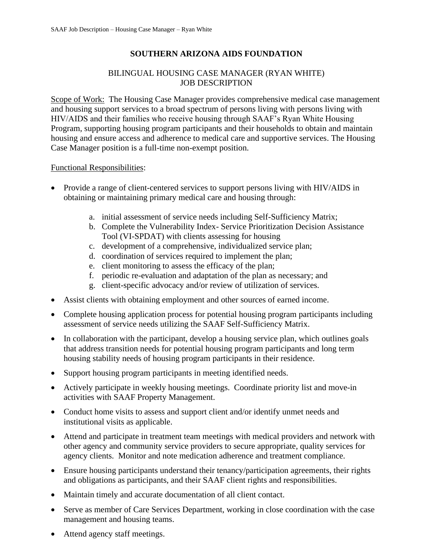# **SOUTHERN ARIZONA AIDS FOUNDATION**

### BILINGUAL HOUSING CASE MANAGER (RYAN WHITE) JOB DESCRIPTION

Scope of Work: The Housing Case Manager provides comprehensive medical case management and housing support services to a broad spectrum of persons living with persons living with HIV/AIDS and their families who receive housing through SAAF's Ryan White Housing Program, supporting housing program participants and their households to obtain and maintain housing and ensure access and adherence to medical care and supportive services. The Housing Case Manager position is a full-time non-exempt position.

#### Functional Responsibilities:

- Provide a range of client-centered services to support persons living with HIV/AIDS in obtaining or maintaining primary medical care and housing through:
	- a. initial assessment of service needs including Self-Sufficiency Matrix;
	- b. Complete the Vulnerability Index- Service Prioritization Decision Assistance Tool (VI-SPDAT) with clients assessing for housing
	- c. development of a comprehensive, individualized service plan;
	- d. coordination of services required to implement the plan;
	- e. client monitoring to assess the efficacy of the plan;
	- f. periodic re-evaluation and adaptation of the plan as necessary; and
	- g. client-specific advocacy and/or review of utilization of services.
- Assist clients with obtaining employment and other sources of earned income.
- Complete housing application process for potential housing program participants including assessment of service needs utilizing the SAAF Self-Sufficiency Matrix.
- In collaboration with the participant, develop a housing service plan, which outlines goals that address transition needs for potential housing program participants and long term housing stability needs of housing program participants in their residence.
- Support housing program participants in meeting identified needs.
- Actively participate in weekly housing meetings. Coordinate priority list and move-in activities with SAAF Property Management.
- Conduct home visits to assess and support client and/or identify unmet needs and institutional visits as applicable.
- Attend and participate in treatment team meetings with medical providers and network with other agency and community service providers to secure appropriate, quality services for agency clients. Monitor and note medication adherence and treatment compliance.
- Ensure housing participants understand their tenancy/participation agreements, their rights and obligations as participants, and their SAAF client rights and responsibilities.
- Maintain timely and accurate documentation of all client contact.
- Serve as member of Care Services Department, working in close coordination with the case management and housing teams.
- Attend agency staff meetings.